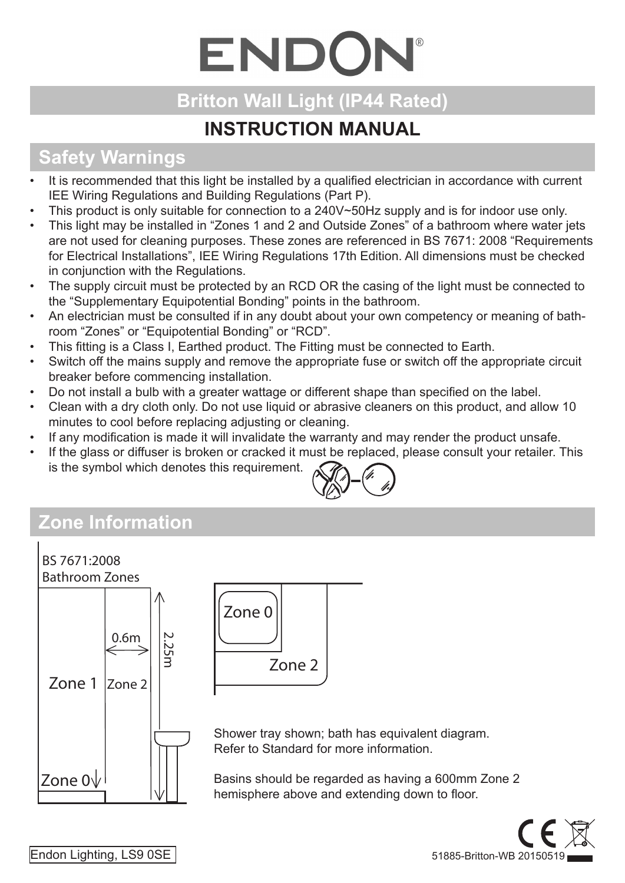# ENDON®

## **Britton Wall Light (IP44 Rated)**

### **INSTRUCTION MANUAL**

## **Safety Warnings**

- It is recommended that this light be installed by a qualified electrician in accordance with current IEE Wiring Regulations and Building Regulations (Part P).
- This product is only suitable for connection to a  $240V \sim 50Hz$  supply and is for indoor use only.
- This light may be installed in "Zones 1 and 2 and Outside Zones" of a bathroom where water jets are not used for cleaning purposes. These zones are referenced in BS 7671: 2008 "Requirements for Electrical Installations", IEE Wiring Regulations 17th Edition. All dimensions must be checked in conjunction with the Regulations.
- The supply circuit must be protected by an RCD OR the casing of the light must be connected to the "Supplementary Equipotential Bonding" points in the bathroom.
- An electrician must be consulted if in any doubt about your own competency or meaning of bathroom "Zones" or "Equipotential Bonding" or "RCD".
- This fitting is a Class I, Earthed product. The Fitting must be connected to Earth.
- Switch off the mains supply and remove the appropriate fuse or switch off the appropriate circuit breaker before commencing installation.
- Do not install a bulb with a greater wattage or different shape than specified on the label.
- Clean with a dry cloth only. Do not use liquid or abrasive cleaners on this product, and allow 10 minutes to cool before replacing adjusting or cleaning.
- If any modification is made it will invalidate the warranty and may render the product unsafe.
- If the glass or diffuser is broken or cracked it must be replaced, please consult your retailer. This is the symbol which denotes this requirement.



# **Zone Information**





Shower tray shown; bath has equivalent diagram. Refer to Standard for more information.

Basins should be regarded as having a 600mm Zone 2 hemisphere above and extending down to floor.



Endon Lighting, LS9 0SE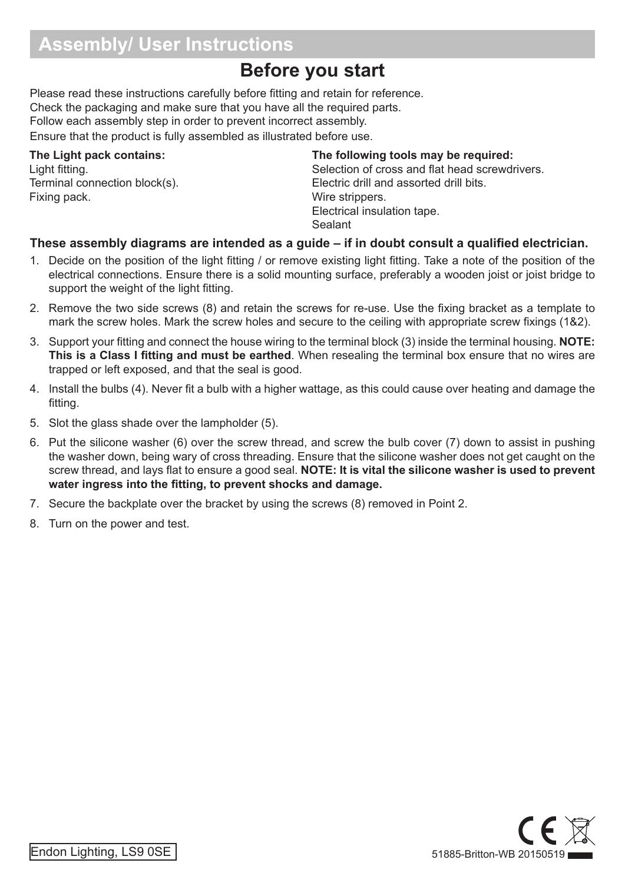#### **Assembly/ User Instructions**

#### **Before you start**

Please read these instructions carefully before fitting and retain for reference. Check the packaging and make sure that you have all the required parts. Follow each assembly step in order to prevent incorrect assembly. Ensure that the product is fully assembled as illustrated before use.

#### **The Light pack contains:**

Light fitting. Terminal connection block(s). Fixing pack.

#### **The following tools may be required:**

Selection of cross and flat head screwdrivers. Electric drill and assorted drill bits. Wire strippers. Electrical insulation tape. Sealant

#### **These assembly diagrams are intended as a guide – if in doubt consult a qualified electrician.**

- 1. Decide on the position of the light fitting / or remove existing light fitting. Take a note of the position of the electrical connections. Ensure there is a solid mounting surface, preferably a wooden joist or joist bridge to support the weight of the light fitting.
- 2. Remove the two side screws (8) and retain the screws for re-use. Use the fixing bracket as a template to mark the screw holes. Mark the screw holes and secure to the ceiling with appropriate screw fixings (1&2).
- 3. Support your fitting and connect the house wiring to the terminal block (3) inside the terminal housing. **NOTE: This is a Class I fitting and must be earthed**. When resealing the terminal box ensure that no wires are trapped or left exposed, and that the seal is good.
- 4. Install the bulbs (4). Never fit a bulb with a higher wattage, as this could cause over heating and damage the fitting.
- 5. Slot the glass shade over the lampholder (5).
- 6. Put the silicone washer (6) over the screw thread, and screw the bulb cover (7) down to assist in pushing the washer down, being wary of cross threading. Ensure that the silicone washer does not get caught on the screw thread, and lays flat to ensure a good seal. **NOTE: It is vital the silicone washer is used to prevent water ingress into the fitting, to prevent shocks and damage.**
- 7. Secure the backplate over the bracket by using the screws (8) removed in Point 2.
- 8. Turn on the power and test.